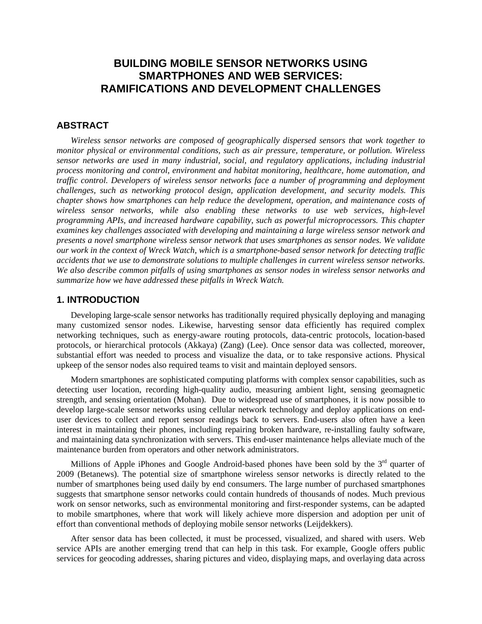# **BUILDING MOBILE SENSOR NETWORKS USING SMARTPHONES AND WEB SERVICES: RAMIFICATIONS AND DEVELOPMENT CHALLENGES**

## **ABSTRACT**

*Wireless sensor networks are composed of geographically dispersed sensors that work together to monitor physical or environmental conditions, such as air pressure, temperature, or pollution. Wireless sensor networks are used in many industrial, social, and regulatory applications, including industrial process monitoring and control, environment and habitat monitoring, healthcare, home automation, and traffic control. Developers of wireless sensor networks face a number of programming and deployment challenges, such as networking protocol design, application development, and security models. This chapter shows how smartphones can help reduce the development, operation, and maintenance costs of wireless sensor networks, while also enabling these networks to use web services, high-level programming APIs, and increased hardware capability, such as powerful microprocessors. This chapter examines key challenges associated with developing and maintaining a large wireless sensor network and presents a novel smartphone wireless sensor network that uses smartphones as sensor nodes. We validate our work in the context of Wreck Watch, which is a smartphone-based sensor network for detecting traffic accidents that we use to demonstrate solutions to multiple challenges in current wireless sensor networks. We also describe common pitfalls of using smartphones as sensor nodes in wireless sensor networks and summarize how we have addressed these pitfalls in Wreck Watch.*

## **1. INTRODUCTION**

Developing large-scale sensor networks has traditionally required physically deploying and managing many customized sensor nodes. Likewise, harvesting sensor data efficiently has required complex networking techniques, such as energy-aware routing protocols, data-centric protocols, location-based protocols, or hierarchical protocols (Akkaya) (Zang) (Lee). Once sensor data was collected, moreover, substantial effort was needed to process and visualize the data, or to take responsive actions. Physical upkeep of the sensor nodes also required teams to visit and maintain deployed sensors.

Modern smartphones are sophisticated computing platforms with complex sensor capabilities, such as detecting user location, recording high-quality audio, measuring ambient light, sensing geomagnetic strength, and sensing orientation (Mohan). Due to widespread use of smartphones, it is now possible to develop large-scale sensor networks using cellular network technology and deploy applications on enduser devices to collect and report sensor readings back to servers. End-users also often have a keen interest in maintaining their phones, including repairing broken hardware, re-installing faulty software, and maintaining data synchronization with servers. This end-user maintenance helps alleviate much of the maintenance burden from operators and other network administrators.

Millions of Apple iPhones and Google Android-based phones have been sold by the  $3<sup>rd</sup>$  quarter of 2009 (Betanews). The potential size of smartphone wireless sensor networks is directly related to the number of smartphones being used daily by end consumers. The large number of purchased smartphones suggests that smartphone sensor networks could contain hundreds of thousands of nodes. Much previous work on sensor networks, such as environmental monitoring and first-responder systems, can be adapted to mobile smartphones, where that work will likely achieve more dispersion and adoption per unit of effort than conventional methods of deploying mobile sensor networks (Leijdekkers).

After sensor data has been collected, it must be processed, visualized, and shared with users. Web service APIs are another emerging trend that can help in this task. For example, Google offers public services for geocoding addresses, sharing pictures and video, displaying maps, and overlaying data across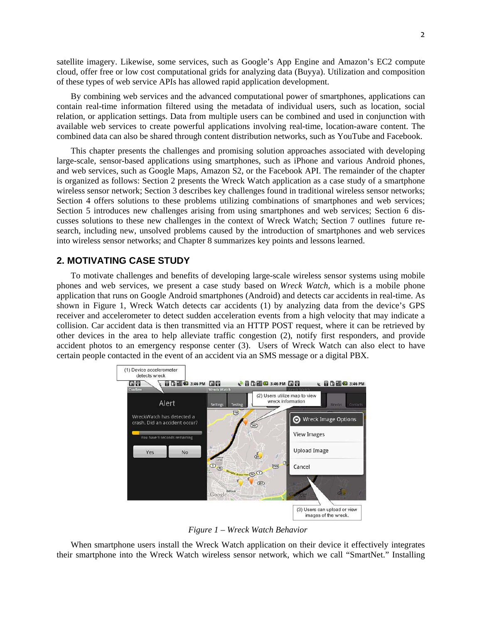satellite imagery. Likewise, some services, such as Google's App Engine and Amazon's EC2 compute cloud, offer free or low cost computational grids for analyzing data (Buyya). Utilization and composition of these types of web service APIs has allowed rapid application development.

By combining web services and the advanced computational power of smartphones, applications can contain real-time information filtered using the metadata of individual users, such as location, social relation, or application settings. Data from multiple users can be combined and used in conjunction with available web services to create powerful applications involving real-time, location-aware content. The combined data can also be shared through content distribution networks, such as YouTube and Facebook.

This chapter presents the challenges and promising solution approaches associated with developing large-scale, sensor-based applications using smartphones, such as iPhone and various Android phones, and web services, such as Google Maps, Amazon S2, or the Facebook API. The remainder of the chapter is organized as follows: Section 2 presents the Wreck Watch application as a case study of a smartphone wireless sensor network; Section 3 describes key challenges found in traditional wireless sensor networks; Section 4 offers solutions to these problems utilizing combinations of smartphones and web services; Section 5 introduces new challenges arising from using smartphones and web services; Section 6 discusses solutions to these new challenges in the context of Wreck Watch; Section 7 outlines future research, including new, unsolved problems caused by the introduction of smartphones and web services into wireless sensor networks; and Chapter 8 summarizes key points and lessons learned.

### **2. MOTIVATING CASE STUDY**

To motivate challenges and benefits of developing large-scale wireless sensor systems using mobile phones and web services, we present a case study based on *Wreck Watch,* which is a mobile phone application that runs on Google Android smartphones (Android) and detects car accidents in real-time. As shown in Figure 1, Wreck Watch detects car accidents (1) by analyzing data from the device's GPS receiver and accelerometer to detect sudden acceleration events from a high velocity that may indicate a collision. Car accident data is then transmitted via an HTTP POST request, where it can be retrieved by other devices in the area to help alleviate traffic congestion (2), notify first responders, and provide accident photos to an emergency response center (3). Users of Wreck Watch can also elect to have certain people contacted in the event of an accident via an SMS message or a digital PBX.



*Figure 1 – Wreck Watch Behavior*

When smartphone users install the Wreck Watch application on their device it effectively integrates their smartphone into the Wreck Watch wireless sensor network, which we call "SmartNet." Installing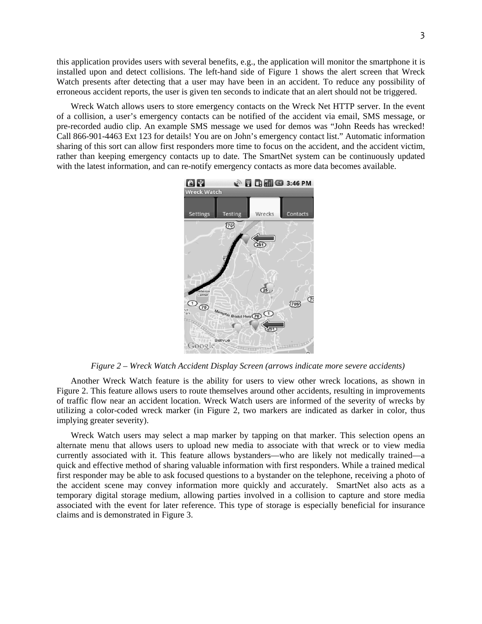this application provides users with several benefits, e.g., the application will monitor the smartphone it is installed upon and detect collisions. The left-hand side of Figure 1 shows the alert screen that Wreck Watch presents after detecting that a user may have been in an accident. To reduce any possibility of erroneous accident reports, the user is given ten seconds to indicate that an alert should not be triggered.

Wreck Watch allows users to store emergency contacts on the Wreck Net HTTP server. In the event of a collision, a user's emergency contacts can be notified of the accident via email, SMS message, or pre-recorded audio clip. An example SMS message we used for demos was "John Reeds has wrecked! Call 866-901-4463 Ext 123 for details! You are on John's emergency contact list." Automatic information sharing of this sort can allow first responders more time to focus on the accident, and the accident victim, rather than keeping emergency contacts up to date. The SmartNet system can be continuously updated with the latest information, and can re-notify emergency contacts as more data becomes available.



*Figure 2 – Wreck Watch Accident Display Screen (arrows indicate more severe accidents)*

Another Wreck Watch feature is the ability for users to view other wreck locations, as shown in Figure 2. This feature allows users to route themselves around other accidents, resulting in improvements of traffic flow near an accident location. Wreck Watch users are informed of the severity of wrecks by utilizing a color-coded wreck marker (in Figure 2, two markers are indicated as darker in color, thus implying greater severity).

Wreck Watch users may select a map marker by tapping on that marker. This selection opens an alternate menu that allows users to upload new media to associate with that wreck or to view media currently associated with it. This feature allows bystanders—who are likely not medically trained—a quick and effective method of sharing valuable information with first responders. While a trained medical first responder may be able to ask focused questions to a bystander on the telephone, receiving a photo of the accident scene may convey information more quickly and accurately. SmartNet also acts as a temporary digital storage medium, allowing parties involved in a collision to capture and store media associated with the event for later reference. This type of storage is especially beneficial for insurance claims and is demonstrated in Figure 3.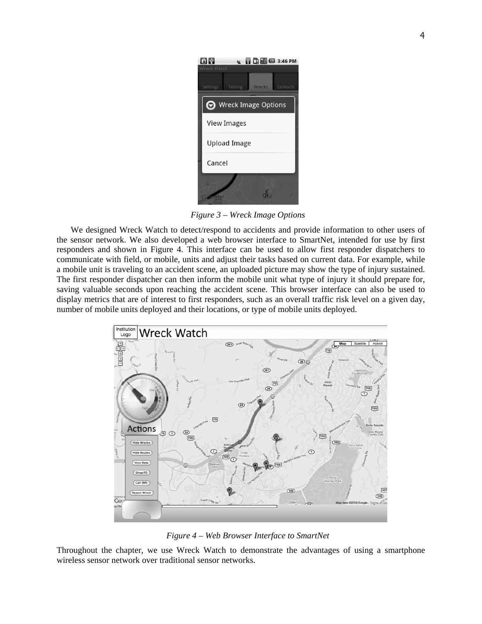| <b>Wreck Watch</b>  |         |        | $\mathbf{R}$ <b>a n e</b> 3:46 PM |
|---------------------|---------|--------|-----------------------------------|
| Settings            | Testing | Wrecks | Contacts                          |
| Wreck Image Options |         |        |                                   |
| <b>View Images</b>  |         |        |                                   |
| <b>Upload Image</b> |         |        |                                   |
| Cancel              |         |        |                                   |
|                     |         |        |                                   |

*Figure 3 – Wreck Image Options*

We designed Wreck Watch to detect/respond to accidents and provide information to other users of the sensor network. We also developed a web browser interface to SmartNet, intended for use by first responders and shown in Figure 4. This interface can be used to allow first responder dispatchers to communicate with field, or mobile, units and adjust their tasks based on current data. For example, while a mobile unit is traveling to an accident scene, an uploaded picture may show the type of injury sustained. The first responder dispatcher can then inform the mobile unit what type of injury it should prepare for, saving valuable seconds upon reaching the accident scene. This browser interface can also be used to display metrics that are of interest to first responders, such as an overall traffic risk level on a given day, number of mobile units deployed and their locations, or type of mobile units deployed.



*Figure 4 – Web Browser Interface to SmartNet*

Throughout the chapter, we use Wreck Watch to demonstrate the advantages of using a smartphone wireless sensor network over traditional sensor networks.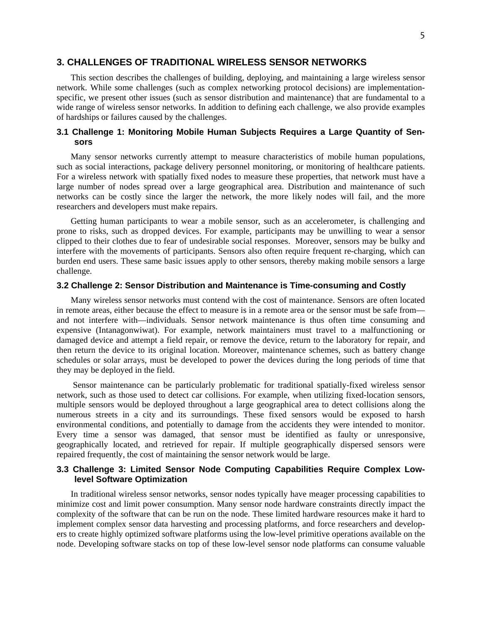### **3. CHALLENGES OF TRADITIONAL WIRELESS SENSOR NETWORKS**

This section describes the challenges of building, deploying, and maintaining a large wireless sensor network. While some challenges (such as complex networking protocol decisions) are implementationspecific, we present other issues (such as sensor distribution and maintenance) that are fundamental to a wide range of wireless sensor networks. In addition to defining each challenge, we also provide examples of hardships or failures caused by the challenges.

### **3.1 Challenge 1: Monitoring Mobile Human Subjects Requires a Large Quantity of Sensors**

Many sensor networks currently attempt to measure characteristics of mobile human populations, such as social interactions, package delivery personnel monitoring, or monitoring of healthcare patients. For a wireless network with spatially fixed nodes to measure these properties, that network must have a large number of nodes spread over a large geographical area. Distribution and maintenance of such networks can be costly since the larger the network, the more likely nodes will fail, and the more researchers and developers must make repairs.

Getting human participants to wear a mobile sensor, such as an accelerometer, is challenging and prone to risks, such as dropped devices. For example, participants may be unwilling to wear a sensor clipped to their clothes due to fear of undesirable social responses. Moreover, sensors may be bulky and interfere with the movements of participants. Sensors also often require frequent re-charging, which can burden end users. These same basic issues apply to other sensors, thereby making mobile sensors a large challenge.

#### **3.2 Challenge 2: Sensor Distribution and Maintenance is Time-consuming and Costly**

Many wireless sensor networks must contend with the cost of maintenance. Sensors are often located in remote areas, either because the effect to measure is in a remote area or the sensor must be safe from and not interfere with—individuals. Sensor network maintenance is thus often time consuming and expensive (Intanagonwiwat). For example, network maintainers must travel to a malfunctioning or damaged device and attempt a field repair, or remove the device, return to the laboratory for repair, and then return the device to its original location. Moreover, maintenance schemes, such as battery change schedules or solar arrays, must be developed to power the devices during the long periods of time that they may be deployed in the field.

Sensor maintenance can be particularly problematic for traditional spatially-fixed wireless sensor network, such as those used to detect car collisions. For example, when utilizing fixed-location sensors, multiple sensors would be deployed throughout a large geographical area to detect collisions along the numerous streets in a city and its surroundings. These fixed sensors would be exposed to harsh environmental conditions, and potentially to damage from the accidents they were intended to monitor. Every time a sensor was damaged, that sensor must be identified as faulty or unresponsive, geographically located, and retrieved for repair. If multiple geographically dispersed sensors were repaired frequently, the cost of maintaining the sensor network would be large.

#### **3.3 Challenge 3: Limited Sensor Node Computing Capabilities Require Complex Lowlevel Software Optimization**

In traditional wireless sensor networks, sensor nodes typically have meager processing capabilities to minimize cost and limit power consumption. Many sensor node hardware constraints directly impact the complexity of the software that can be run on the node. These limited hardware resources make it hard to implement complex sensor data harvesting and processing platforms, and force researchers and developers to create highly optimized software platforms using the low-level primitive operations available on the node. Developing software stacks on top of these low-level sensor node platforms can consume valuable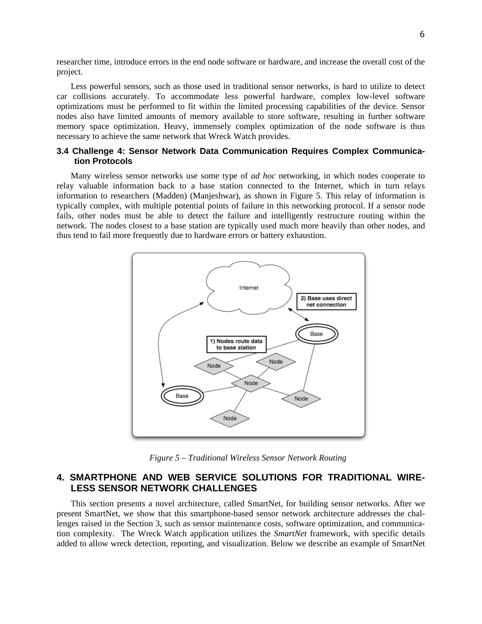researcher time, introduce errors in the end node software or hardware, and increase the overall cost of the project.

Less powerful sensors, such as those used in traditional sensor networks, is hard to utilize to detect car collisions accurately. To accommodate less powerful hardware, complex low-level software optimizations must be performed to fit within the limited processing capabilities of the device. Sensor nodes also have limited amounts of memory available to store software, resulting in further software memory space optimization. Heavy, immensely complex optimization of the node software is thus necessary to achieve the same network that Wreck Watch provides.

#### **3.4 Challenge 4: Sensor Network Data Communication Requires Complex Communication Protocols**

Many wireless sensor networks use some type of *ad hoc* networking, in which nodes cooperate to relay valuable information back to a base station connected to the Internet, which in turn relays information to researchers (Madden) (Manjeshwar), as shown in Figure 5. This relay of information is typically complex, with multiple potential points of failure in this networking protocol. If a sensor node fails, other nodes must be able to detect the failure and intelligently restructure routing within the network. The nodes closest to a base station are typically used much more heavily than other nodes, and thus tend to fail more frequently due to hardware errors or battery exhaustion.



*Figure 5 – Traditional Wireless Sensor Network Routing*

## **4. SMARTPHONE AND WEB SERVICE SOLUTIONS FOR TRADITIONAL WIRE-LESS SENSOR NETWORK CHALLENGES**

This section presents a novel architecture, called SmartNet, for building sensor networks. After we present SmartNet, we show that this smartphone-based sensor network architecture addresses the challenges raised in the Section 3, such as sensor maintenance costs, software optimization, and communication complexity. The Wreck Watch application utilizes the *SmartNet* framework, with specific details added to allow wreck detection, reporting, and visualization. Below we describe an example of SmartNet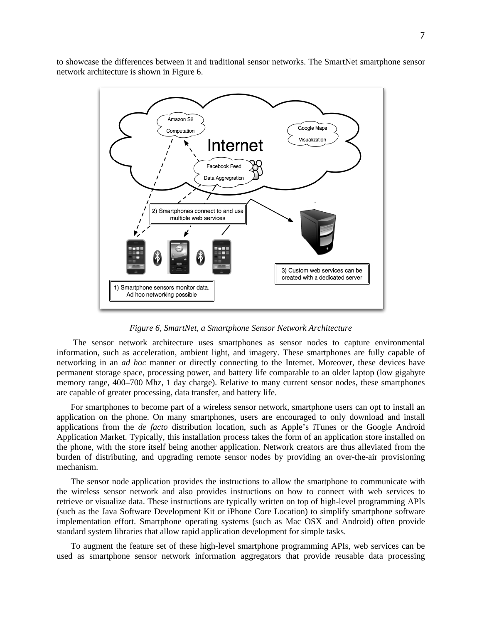to showcase the differences between it and traditional sensor networks. The SmartNet smartphone sensor network architecture is shown in Figure 6.



*Figure 6, SmartNet, a Smartphone Sensor Network Architecture*

The sensor network architecture uses smartphones as sensor nodes to capture environmental information, such as acceleration, ambient light, and imagery. These smartphones are fully capable of networking in an *ad hoc* manner or directly connecting to the Internet. Moreover, these devices have permanent storage space, processing power, and battery life comparable to an older laptop (low gigabyte memory range, 400–700 Mhz, 1 day charge). Relative to many current sensor nodes, these smartphones are capable of greater processing, data transfer, and battery life.

For smartphones to become part of a wireless sensor network, smartphone users can opt to install an application on the phone. On many smartphones, users are encouraged to only download and install applications from the *de facto* distribution location, such as Apple's iTunes or the Google Android Application Market. Typically, this installation process takes the form of an application store installed on the phone, with the store itself being another application. Network creators are thus alleviated from the burden of distributing, and upgrading remote sensor nodes by providing an over-the-air provisioning mechanism.

The sensor node application provides the instructions to allow the smartphone to communicate with the wireless sensor network and also provides instructions on how to connect with web services to retrieve or visualize data. These instructions are typically written on top of high-level programming APIs (such as the Java Software Development Kit or iPhone Core Location) to simplify smartphone software implementation effort. Smartphone operating systems (such as Mac OSX and Android) often provide standard system libraries that allow rapid application development for simple tasks.

To augment the feature set of these high-level smartphone programming APIs, web services can be used as smartphone sensor network information aggregators that provide reusable data processing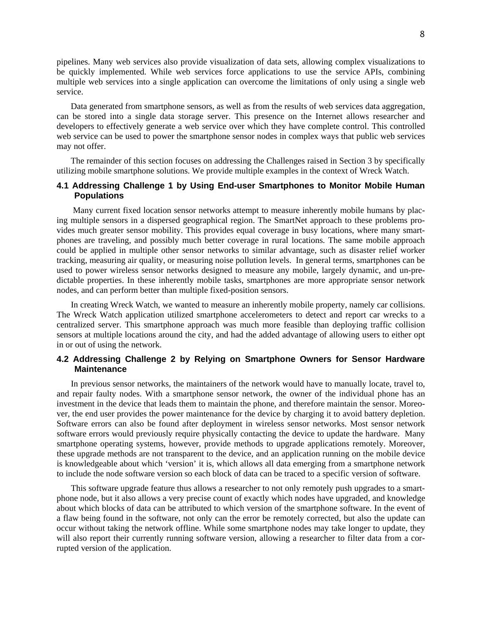pipelines. Many web services also provide visualization of data sets, allowing complex visualizations to be quickly implemented. While web services force applications to use the service APIs, combining multiple web services into a single application can overcome the limitations of only using a single web service.

Data generated from smartphone sensors, as well as from the results of web services data aggregation, can be stored into a single data storage server. This presence on the Internet allows researcher and developers to effectively generate a web service over which they have complete control. This controlled web service can be used to power the smartphone sensor nodes in complex ways that public web services may not offer.

The remainder of this section focuses on addressing the Challenges raised in Section 3 by specifically utilizing mobile smartphone solutions. We provide multiple examples in the context of Wreck Watch.

#### **4.1 Addressing Challenge 1 by Using End-user Smartphones to Monitor Mobile Human Populations**

Many current fixed location sensor networks attempt to measure inherently mobile humans by placing multiple sensors in a dispersed geographical region. The SmartNet approach to these problems provides much greater sensor mobility. This provides equal coverage in busy locations, where many smartphones are traveling, and possibly much better coverage in rural locations. The same mobile approach could be applied in multiple other sensor networks to similar advantage, such as disaster relief worker tracking, measuring air quality, or measuring noise pollution levels. In general terms, smartphones can be used to power wireless sensor networks designed to measure any mobile, largely dynamic, and un-predictable properties. In these inherently mobile tasks, smartphones are more appropriate sensor network nodes, and can perform better than multiple fixed-position sensors.

In creating Wreck Watch, we wanted to measure an inherently mobile property, namely car collisions. The Wreck Watch application utilized smartphone accelerometers to detect and report car wrecks to a centralized server. This smartphone approach was much more feasible than deploying traffic collision sensors at multiple locations around the city, and had the added advantage of allowing users to either opt in or out of using the network.

### **4.2 Addressing Challenge 2 by Relying on Smartphone Owners for Sensor Hardware Maintenance**

In previous sensor networks, the maintainers of the network would have to manually locate, travel to, and repair faulty nodes. With a smartphone sensor network, the owner of the individual phone has an investment in the device that leads them to maintain the phone, and therefore maintain the sensor. Moreover, the end user provides the power maintenance for the device by charging it to avoid battery depletion. Software errors can also be found after deployment in wireless sensor networks. Most sensor network software errors would previously require physically contacting the device to update the hardware. Many smartphone operating systems, however, provide methods to upgrade applications remotely. Moreover, these upgrade methods are not transparent to the device, and an application running on the mobile device is knowledgeable about which 'version' it is, which allows all data emerging from a smartphone network to include the node software version so each block of data can be traced to a specific version of software.

This software upgrade feature thus allows a researcher to not only remotely push upgrades to a smartphone node, but it also allows a very precise count of exactly which nodes have upgraded, and knowledge about which blocks of data can be attributed to which version of the smartphone software. In the event of a flaw being found in the software, not only can the error be remotely corrected, but also the update can occur without taking the network offline. While some smartphone nodes may take longer to update, they will also report their currently running software version, allowing a researcher to filter data from a corrupted version of the application.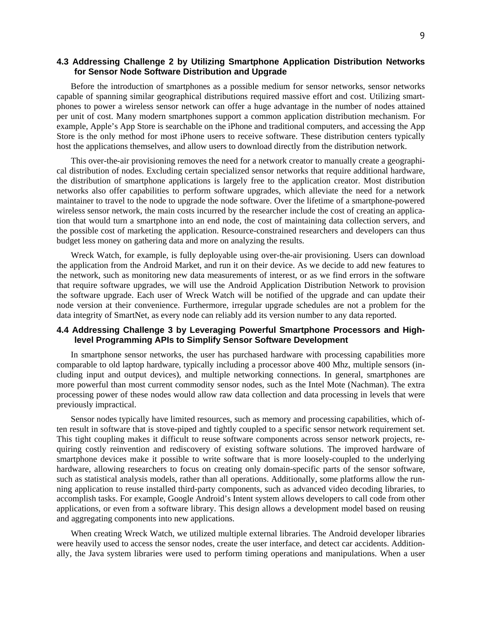### **4.3 Addressing Challenge 2 by Utilizing Smartphone Application Distribution Networks for Sensor Node Software Distribution and Upgrade**

Before the introduction of smartphones as a possible medium for sensor networks, sensor networks capable of spanning similar geographical distributions required massive effort and cost. Utilizing smartphones to power a wireless sensor network can offer a huge advantage in the number of nodes attained per unit of cost. Many modern smartphones support a common application distribution mechanism. For example, Apple's App Store is searchable on the iPhone and traditional computers, and accessing the App Store is the only method for most iPhone users to receive software. These distribution centers typically host the applications themselves, and allow users to download directly from the distribution network.

This over-the-air provisioning removes the need for a network creator to manually create a geographical distribution of nodes. Excluding certain specialized sensor networks that require additional hardware, the distribution of smartphone applications is largely free to the application creator. Most distribution networks also offer capabilities to perform software upgrades, which alleviate the need for a network maintainer to travel to the node to upgrade the node software. Over the lifetime of a smartphone-powered wireless sensor network, the main costs incurred by the researcher include the cost of creating an application that would turn a smartphone into an end node, the cost of maintaining data collection servers, and the possible cost of marketing the application. Resource-constrained researchers and developers can thus budget less money on gathering data and more on analyzing the results.

Wreck Watch, for example, is fully deployable using over-the-air provisioning. Users can download the application from the Android Market, and run it on their device. As we decide to add new features to the network, such as monitoring new data measurements of interest, or as we find errors in the software that require software upgrades, we will use the Android Application Distribution Network to provision the software upgrade. Each user of Wreck Watch will be notified of the upgrade and can update their node version at their convenience. Furthermore, irregular upgrade schedules are not a problem for the data integrity of SmartNet, as every node can reliably add its version number to any data reported.

### **4.4 Addressing Challenge 3 by Leveraging Powerful Smartphone Processors and Highlevel Programming APIs to Simplify Sensor Software Development**

In smartphone sensor networks, the user has purchased hardware with processing capabilities more comparable to old laptop hardware, typically including a processor above 400 Mhz, multiple sensors (including input and output devices), and multiple networking connections. In general, smartphones are more powerful than most current commodity sensor nodes, such as the Intel Mote (Nachman). The extra processing power of these nodes would allow raw data collection and data processing in levels that were previously impractical.

Sensor nodes typically have limited resources, such as memory and processing capabilities, which often result in software that is stove-piped and tightly coupled to a specific sensor network requirement set. This tight coupling makes it difficult to reuse software components across sensor network projects, requiring costly reinvention and rediscovery of existing software solutions. The improved hardware of smartphone devices make it possible to write software that is more loosely-coupled to the underlying hardware, allowing researchers to focus on creating only domain-specific parts of the sensor software, such as statistical analysis models, rather than all operations. Additionally, some platforms allow the running application to reuse installed third-party components, such as advanced video decoding libraries, to accomplish tasks. For example, Google Android's Intent system allows developers to call code from other applications, or even from a software library. This design allows a development model based on reusing and aggregating components into new applications.

When creating Wreck Watch, we utilized multiple external libraries. The Android developer libraries were heavily used to access the sensor nodes, create the user interface, and detect car accidents. Additionally, the Java system libraries were used to perform timing operations and manipulations. When a user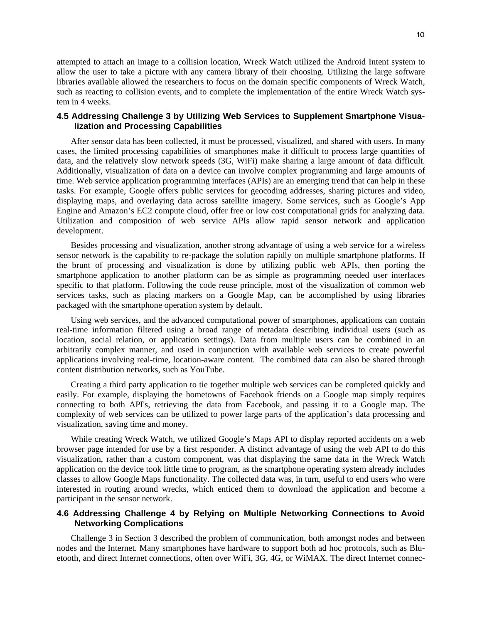attempted to attach an image to a collision location, Wreck Watch utilized the Android Intent system to allow the user to take a picture with any camera library of their choosing. Utilizing the large software libraries available allowed the researchers to focus on the domain specific components of Wreck Watch, such as reacting to collision events, and to complete the implementation of the entire Wreck Watch system in 4 weeks.

#### **4.5 Addressing Challenge 3 by Utilizing Web Services to Supplement Smartphone Visualization and Processing Capabilities**

After sensor data has been collected, it must be processed, visualized, and shared with users. In many cases, the limited processing capabilities of smartphones make it difficult to process large quantities of data, and the relatively slow network speeds (3G, WiFi) make sharing a large amount of data difficult. Additionally, visualization of data on a device can involve complex programming and large amounts of time. Web service application programming interfaces (APIs) are an emerging trend that can help in these tasks. For example, Google offers public services for geocoding addresses, sharing pictures and video, displaying maps, and overlaying data across satellite imagery. Some services, such as Google's App Engine and Amazon's EC2 compute cloud, offer free or low cost computational grids for analyzing data. Utilization and composition of web service APIs allow rapid sensor network and application development.

Besides processing and visualization, another strong advantage of using a web service for a wireless sensor network is the capability to re-package the solution rapidly on multiple smartphone platforms. If the brunt of processing and visualization is done by utilizing public web APIs, then porting the smartphone application to another platform can be as simple as programming needed user interfaces specific to that platform. Following the code reuse principle, most of the visualization of common web services tasks, such as placing markers on a Google Map, can be accomplished by using libraries packaged with the smartphone operation system by default.

Using web services, and the advanced computational power of smartphones, applications can contain real-time information filtered using a broad range of metadata describing individual users (such as location, social relation, or application settings). Data from multiple users can be combined in an arbitrarily complex manner, and used in conjunction with available web services to create powerful applications involving real-time, location-aware content. The combined data can also be shared through content distribution networks, such as YouTube.

Creating a third party application to tie together multiple web services can be completed quickly and easily. For example, displaying the hometowns of Facebook friends on a Google map simply requires connecting to both API's, retrieving the data from Facebook, and passing it to a Google map. The complexity of web services can be utilized to power large parts of the application's data processing and visualization, saving time and money.

While creating Wreck Watch, we utilized Google's Maps API to display reported accidents on a web browser page intended for use by a first responder. A distinct advantage of using the web API to do this visualization, rather than a custom component, was that displaying the same data in the Wreck Watch application on the device took little time to program, as the smartphone operating system already includes classes to allow Google Maps functionality. The collected data was, in turn, useful to end users who were interested in routing around wrecks, which enticed them to download the application and become a participant in the sensor network.

### **4.6 Addressing Challenge 4 by Relying on Multiple Networking Connections to Avoid Networking Complications**

Challenge 3 in Section 3 described the problem of communication, both amongst nodes and between nodes and the Internet. Many smartphones have hardware to support both ad hoc protocols, such as Bluetooth, and direct Internet connections, often over WiFi, 3G, 4G, or WiMAX. The direct Internet connec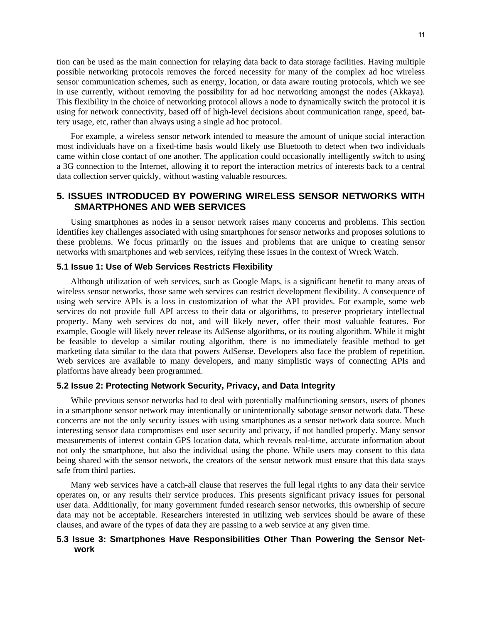tion can be used as the main connection for relaying data back to data storage facilities. Having multiple possible networking protocols removes the forced necessity for many of the complex ad hoc wireless sensor communication schemes, such as energy, location, or data aware routing protocols, which we see in use currently, without removing the possibility for ad hoc networking amongst the nodes (Akkaya). This flexibility in the choice of networking protocol allows a node to dynamically switch the protocol it is using for network connectivity, based off of high-level decisions about communication range, speed, battery usage, etc, rather than always using a single ad hoc protocol.

For example, a wireless sensor network intended to measure the amount of unique social interaction most individuals have on a fixed-time basis would likely use Bluetooth to detect when two individuals came within close contact of one another. The application could occasionally intelligently switch to using a 3G connection to the Internet, allowing it to report the interaction metrics of interests back to a central data collection server quickly, without wasting valuable resources.

## **5. ISSUES INTRODUCED BY POWERING WIRELESS SENSOR NETWORKS WITH SMARTPHONES AND WEB SERVICES**

Using smartphones as nodes in a sensor network raises many concerns and problems. This section identifies key challenges associated with using smartphones for sensor networks and proposes solutions to these problems. We focus primarily on the issues and problems that are unique to creating sensor networks with smartphones and web services, reifying these issues in the context of Wreck Watch.

#### **5.1 Issue 1: Use of Web Services Restricts Flexibility**

Although utilization of web services, such as Google Maps, is a significant benefit to many areas of wireless sensor networks, those same web services can restrict development flexibility. A consequence of using web service APIs is a loss in customization of what the API provides. For example, some web services do not provide full API access to their data or algorithms, to preserve proprietary intellectual property. Many web services do not, and will likely never, offer their most valuable features. For example, Google will likely never release its AdSense algorithms, or its routing algorithm. While it might be feasible to develop a similar routing algorithm, there is no immediately feasible method to get marketing data similar to the data that powers AdSense. Developers also face the problem of repetition. Web services are available to many developers, and many simplistic ways of connecting APIs and platforms have already been programmed.

### **5.2 Issue 2: Protecting Network Security, Privacy, and Data Integrity**

While previous sensor networks had to deal with potentially malfunctioning sensors, users of phones in a smartphone sensor network may intentionally or unintentionally sabotage sensor network data. These concerns are not the only security issues with using smartphones as a sensor network data source. Much interesting sensor data compromises end user security and privacy, if not handled properly. Many sensor measurements of interest contain GPS location data, which reveals real-time, accurate information about not only the smartphone, but also the individual using the phone. While users may consent to this data being shared with the sensor network, the creators of the sensor network must ensure that this data stays safe from third parties.

Many web services have a catch-all clause that reserves the full legal rights to any data their service operates on, or any results their service produces. This presents significant privacy issues for personal user data. Additionally, for many government funded research sensor networks, this ownership of secure data may not be acceptable. Researchers interested in utilizing web services should be aware of these clauses, and aware of the types of data they are passing to a web service at any given time.

#### **5.3 Issue 3: Smartphones Have Responsibilities Other Than Powering the Sensor Network**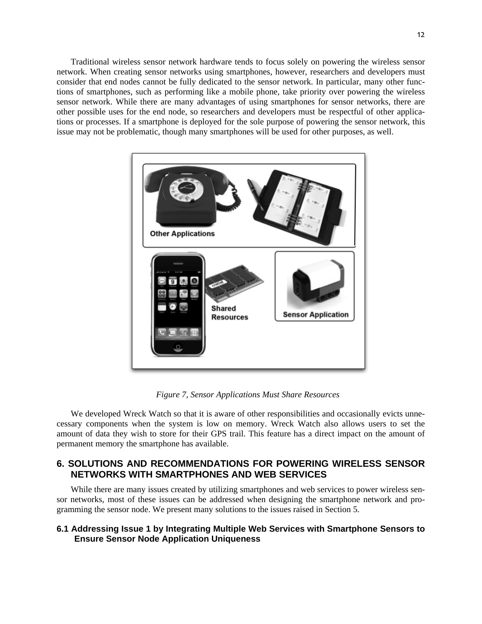Traditional wireless sensor network hardware tends to focus solely on powering the wireless sensor network. When creating sensor networks using smartphones, however, researchers and developers must consider that end nodes cannot be fully dedicated to the sensor network. In particular, many other functions of smartphones, such as performing like a mobile phone, take priority over powering the wireless sensor network. While there are many advantages of using smartphones for sensor networks, there are other possible uses for the end node, so researchers and developers must be respectful of other applications or processes. If a smartphone is deployed for the sole purpose of powering the sensor network, this issue may not be problematic, though many smartphones will be used for other purposes, as well.



*Figure 7, Sensor Applications Must Share Resources*

We developed Wreck Watch so that it is aware of other responsibilities and occasionally evicts unnecessary components when the system is low on memory. Wreck Watch also allows users to set the amount of data they wish to store for their GPS trail. This feature has a direct impact on the amount of permanent memory the smartphone has available.

## **6. SOLUTIONS AND RECOMMENDATIONS FOR POWERING WIRELESS SENSOR NETWORKS WITH SMARTPHONES AND WEB SERVICES**

While there are many issues created by utilizing smartphones and web services to power wireless sensor networks, most of these issues can be addressed when designing the smartphone network and programming the sensor node. We present many solutions to the issues raised in Section 5.

### **6.1 Addressing Issue 1 by Integrating Multiple Web Services with Smartphone Sensors to Ensure Sensor Node Application Uniqueness**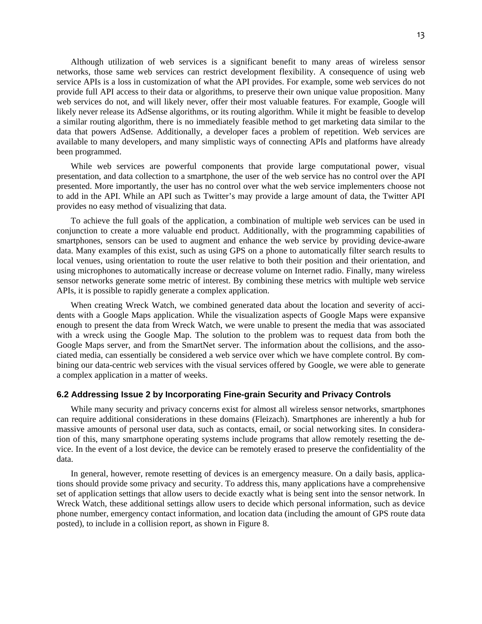Although utilization of web services is a significant benefit to many areas of wireless sensor networks, those same web services can restrict development flexibility. A consequence of using web service APIs is a loss in customization of what the API provides. For example, some web services do not provide full API access to their data or algorithms, to preserve their own unique value proposition. Many web services do not, and will likely never, offer their most valuable features. For example, Google will likely never release its AdSense algorithms, or its routing algorithm. While it might be feasible to develop a similar routing algorithm, there is no immediately feasible method to get marketing data similar to the data that powers AdSense. Additionally, a developer faces a problem of repetition. Web services are available to many developers, and many simplistic ways of connecting APIs and platforms have already been programmed.

While web services are powerful components that provide large computational power, visual presentation, and data collection to a smartphone, the user of the web service has no control over the API presented. More importantly, the user has no control over what the web service implementers choose not to add in the API. While an API such as Twitter's may provide a large amount of data, the Twitter API provides no easy method of visualizing that data.

To achieve the full goals of the application, a combination of multiple web services can be used in conjunction to create a more valuable end product. Additionally, with the programming capabilities of smartphones, sensors can be used to augment and enhance the web service by providing device-aware data. Many examples of this exist, such as using GPS on a phone to automatically filter search results to local venues, using orientation to route the user relative to both their position and their orientation, and using microphones to automatically increase or decrease volume on Internet radio. Finally, many wireless sensor networks generate some metric of interest. By combining these metrics with multiple web service APIs, it is possible to rapidly generate a complex application.

When creating Wreck Watch, we combined generated data about the location and severity of accidents with a Google Maps application. While the visualization aspects of Google Maps were expansive enough to present the data from Wreck Watch, we were unable to present the media that was associated with a wreck using the Google Map. The solution to the problem was to request data from both the Google Maps server, and from the SmartNet server. The information about the collisions, and the associated media, can essentially be considered a web service over which we have complete control. By combining our data-centric web services with the visual services offered by Google, we were able to generate a complex application in a matter of weeks.

#### **6.2 Addressing Issue 2 by Incorporating Fine-grain Security and Privacy Controls**

While many security and privacy concerns exist for almost all wireless sensor networks, smartphones can require additional considerations in these domains (Fleizach). Smartphones are inherently a hub for massive amounts of personal user data, such as contacts, email, or social networking sites. In consideration of this, many smartphone operating systems include programs that allow remotely resetting the device. In the event of a lost device, the device can be remotely erased to preserve the confidentiality of the data.

In general, however, remote resetting of devices is an emergency measure. On a daily basis, applications should provide some privacy and security. To address this, many applications have a comprehensive set of application settings that allow users to decide exactly what is being sent into the sensor network. In Wreck Watch, these additional settings allow users to decide which personal information, such as device phone number, emergency contact information, and location data (including the amount of GPS route data posted), to include in a collision report, as shown in Figure 8.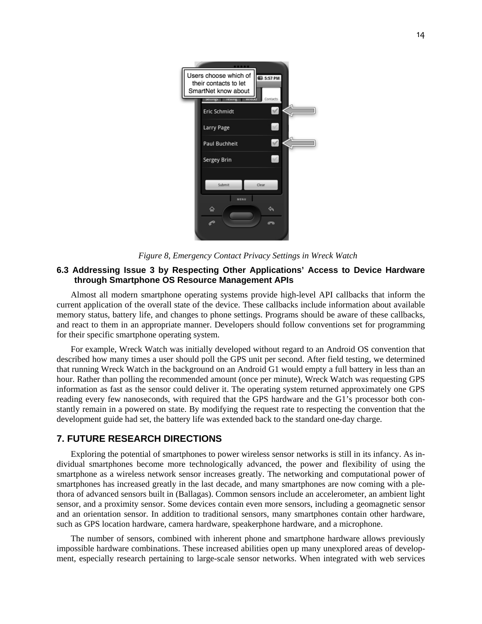| Users choose which of<br>5:57 PM<br>their contacts to let<br>SmartNet know about<br>Contacts |
|----------------------------------------------------------------------------------------------|
| <b>Eric Schmidt</b>                                                                          |
| Larry Page                                                                                   |
| <b>Paul Buchheit</b>                                                                         |
| Sergey Brin                                                                                  |
| Submit<br>Clear<br>MENU<br>⋒                                                                 |

*Figure 8, Emergency Contact Privacy Settings in Wreck Watch*

#### **6.3 Addressing Issue 3 by Respecting Other Applications' Access to Device Hardware through Smartphone OS Resource Management APIs**

Almost all modern smartphone operating systems provide high-level API callbacks that inform the current application of the overall state of the device. These callbacks include information about available memory status, battery life, and changes to phone settings. Programs should be aware of these callbacks, and react to them in an appropriate manner. Developers should follow conventions set for programming for their specific smartphone operating system.

For example, Wreck Watch was initially developed without regard to an Android OS convention that described how many times a user should poll the GPS unit per second. After field testing, we determined that running Wreck Watch in the background on an Android G1 would empty a full battery in less than an hour. Rather than polling the recommended amount (once per minute), Wreck Watch was requesting GPS information as fast as the sensor could deliver it. The operating system returned approximately one GPS reading every few nanoseconds, with required that the GPS hardware and the G1's processor both constantly remain in a powered on state. By modifying the request rate to respecting the convention that the development guide had set, the battery life was extended back to the standard one-day charge.

## **7. FUTURE RESEARCH DIRECTIONS**

Exploring the potential of smartphones to power wireless sensor networks is still in its infancy. As individual smartphones become more technologically advanced, the power and flexibility of using the smartphone as a wireless network sensor increases greatly. The networking and computational power of smartphones has increased greatly in the last decade, and many smartphones are now coming with a plethora of advanced sensors built in (Ballagas). Common sensors include an accelerometer, an ambient light sensor, and a proximity sensor. Some devices contain even more sensors, including a geomagnetic sensor and an orientation sensor. In addition to traditional sensors, many smartphones contain other hardware, such as GPS location hardware, camera hardware, speakerphone hardware, and a microphone.

The number of sensors, combined with inherent phone and smartphone hardware allows previously impossible hardware combinations. These increased abilities open up many unexplored areas of development, especially research pertaining to large-scale sensor networks. When integrated with web services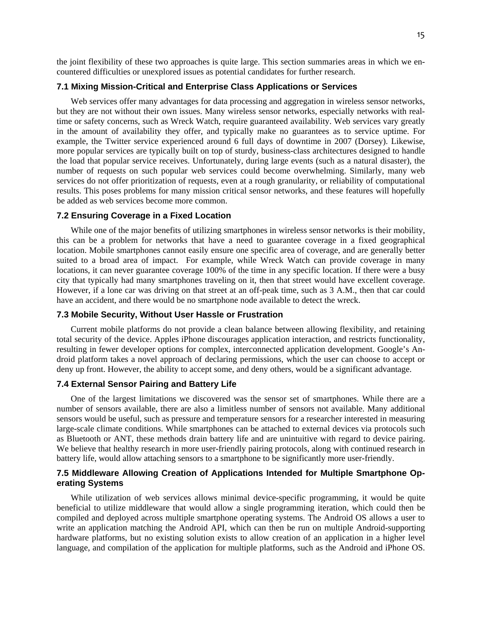the joint flexibility of these two approaches is quite large. This section summaries areas in which we encountered difficulties or unexplored issues as potential candidates for further research.

#### **7.1 Mixing Mission-Critical and Enterprise Class Applications or Services**

Web services offer many advantages for data processing and aggregation in wireless sensor networks, but they are not without their own issues. Many wireless sensor networks, especially networks with realtime or safety concerns, such as Wreck Watch, require guaranteed availability. Web services vary greatly in the amount of availability they offer, and typically make no guarantees as to service uptime. For example, the Twitter service experienced around 6 full days of downtime in 2007 (Dorsey). Likewise, more popular services are typically built on top of sturdy, business-class architectures designed to handle the load that popular service receives. Unfortunately, during large events (such as a natural disaster), the number of requests on such popular web services could become overwhelming. Similarly, many web services do not offer prioritization of requests, even at a rough granularity, or reliability of computational results. This poses problems for many mission critical sensor networks, and these features will hopefully be added as web services become more common.

#### **7.2 Ensuring Coverage in a Fixed Location**

While one of the major benefits of utilizing smartphones in wireless sensor networks is their mobility, this can be a problem for networks that have a need to guarantee coverage in a fixed geographical location. Mobile smartphones cannot easily ensure one specific area of coverage, and are generally better suited to a broad area of impact. For example, while Wreck Watch can provide coverage in many locations, it can never guarantee coverage 100% of the time in any specific location. If there were a busy city that typically had many smartphones traveling on it, then that street would have excellent coverage. However, if a lone car was driving on that street at an off-peak time, such as 3 A.M., then that car could have an accident, and there would be no smartphone node available to detect the wreck.

#### **7.3 Mobile Security, Without User Hassle or Frustration**

Current mobile platforms do not provide a clean balance between allowing flexibility, and retaining total security of the device. Apples iPhone discourages application interaction, and restricts functionality, resulting in fewer developer options for complex, interconnected application development. Google's Android platform takes a novel approach of declaring permissions, which the user can choose to accept or deny up front. However, the ability to accept some, and deny others, would be a significant advantage.

#### **7.4 External Sensor Pairing and Battery Life**

One of the largest limitations we discovered was the sensor set of smartphones. While there are a number of sensors available, there are also a limitless number of sensors not available. Many additional sensors would be useful, such as pressure and temperature sensors for a researcher interested in measuring large-scale climate conditions. While smartphones can be attached to external devices via protocols such as Bluetooth or ANT, these methods drain battery life and are unintuitive with regard to device pairing. We believe that healthy research in more user-friendly pairing protocols, along with continued research in battery life, would allow attaching sensors to a smartphone to be significantly more user-friendly.

### **7.5 Middleware Allowing Creation of Applications Intended for Multiple Smartphone Operating Systems**

While utilization of web services allows minimal device-specific programming, it would be quite beneficial to utilize middleware that would allow a single programming iteration, which could then be compiled and deployed across multiple smartphone operating systems. The Android OS allows a user to write an application matching the Android API, which can then be run on multiple Android-supporting hardware platforms, but no existing solution exists to allow creation of an application in a higher level language, and compilation of the application for multiple platforms, such as the Android and iPhone OS.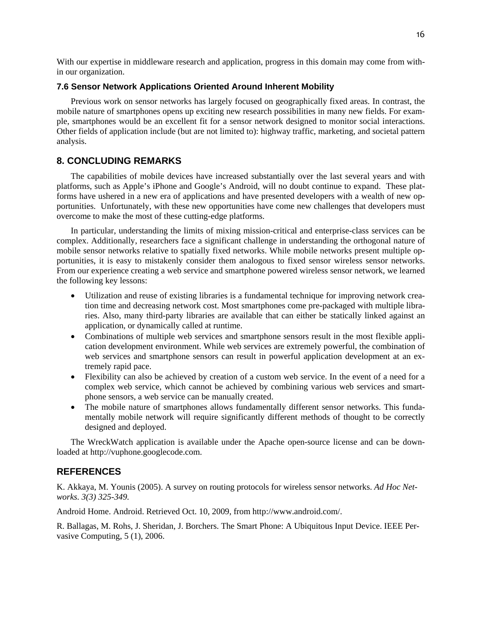With our expertise in middleware research and application, progress in this domain may come from within our organization.

#### **7.6 Sensor Network Applications Oriented Around Inherent Mobility**

Previous work on sensor networks has largely focused on geographically fixed areas. In contrast, the mobile nature of smartphones opens up exciting new research possibilities in many new fields. For example, smartphones would be an excellent fit for a sensor network designed to monitor social interactions. Other fields of application include (but are not limited to): highway traffic, marketing, and societal pattern analysis.

### **8. CONCLUDING REMARKS**

The capabilities of mobile devices have increased substantially over the last several years and with platforms, such as Apple's iPhone and Google's Android, will no doubt continue to expand. These platforms have ushered in a new era of applications and have presented developers with a wealth of new opportunities. Unfortunately, with these new opportunities have come new challenges that developers must overcome to make the most of these cutting-edge platforms.

In particular, understanding the limits of mixing mission-critical and enterprise-class services can be complex. Additionally, researchers face a significant challenge in understanding the orthogonal nature of mobile sensor networks relative to spatially fixed networks. While mobile networks present multiple opportunities, it is easy to mistakenly consider them analogous to fixed sensor wireless sensor networks. From our experience creating a web service and smartphone powered wireless sensor network, we learned the following key lessons:

- Utilization and reuse of existing libraries is a fundamental technique for improving network creation time and decreasing network cost. Most smartphones come pre-packaged with multiple libraries. Also, many third-party libraries are available that can either be statically linked against an application, or dynamically called at runtime.
- Combinations of multiple web services and smartphone sensors result in the most flexible application development environment. While web services are extremely powerful, the combination of web services and smartphone sensors can result in powerful application development at an extremely rapid pace.
- Flexibility can also be achieved by creation of a custom web service. In the event of a need for a complex web service, which cannot be achieved by combining various web services and smartphone sensors, a web service can be manually created.
- The mobile nature of smartphones allows fundamentally different sensor networks. This fundamentally mobile network will require significantly different methods of thought to be correctly designed and deployed.

The WreckWatch application is available under the Apache open-source license and can be downloaded at http://vuphone.googlecode.com.

### **REFERENCES**

K. Akkaya, M. Younis (2005). A survey on routing protocols for wireless sensor networks. *Ad Hoc Networks. 3(3) 325-349.*

Android Home. Android. Retrieved Oct. 10, 2009, from http://www.android.com/.

R. Ballagas, M. Rohs, J. Sheridan, J. Borchers. The Smart Phone: A Ubiquitous Input Device. IEEE Pervasive Computing, 5 (1), 2006.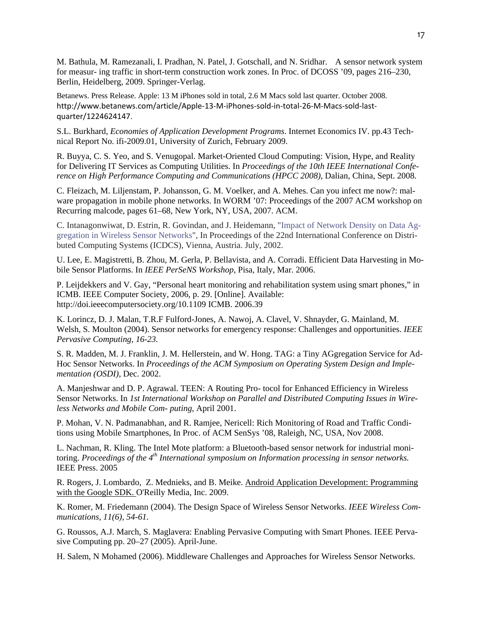M. Bathula, M. Ramezanali, I. Pradhan, N. Patel, J. Gotschall, and N. Sridhar. A sensor network system for measur- ing traffic in short-term construction work zones. In Proc. of DCOSS '09, pages 216–230, Berlin, Heidelberg, 2009. Springer-Verlag.

Betanews. Press Release. Apple: 13 M iPhones sold in total, 2.6 M Macs sold last quarter. October 2008. http://www.betanews.com/article/Apple-13-M-iPhones-sold-in-total-26-M-Macs-sold-lastquarter/1224624147.

S.L. Burkhard, *Economies of Application Development Programs*. Internet Economics IV. pp.43 Technical Report No. ifi-2009.01, University of Zurich, February 2009.

R. Buyya, C. S. Yeo, and S. Venugopal. Market-Oriented Cloud Computing: Vision, Hype, and Reality for Delivering IT Services as Computing Utilities. In *Proceedings of the 10th IEEE International Conference on High Performance Computing and Communications (HPCC 2008)*, Dalian, China, Sept. 2008.

C. Fleizach, M. Liljenstam, P. Johansson, G. M. Voelker, and A. Mehes. Can you infect me now?: malware propagation in mobile phone networks. In WORM '07: Proceedings of the 2007 ACM workshop on Recurring malcode, pages 61–68, New York, NY, USA, 2007. ACM.

C. Intanagonwiwat, D. Estrin, R. Govindan, and J. Heidemann, "Impact of Network Density on Data Aggregation in Wireless Sensor Networks", In Proceedings of the 22nd International Conference on Distributed Computing Systems (ICDCS), Vienna, Austria. July, 2002.

U. Lee, E. Magistretti, B. Zhou, M. Gerla, P. Bellavista, and A. Corradi. Efficient Data Harvesting in Mobile Sensor Platforms. In *IEEE PerSeNS Workshop*, Pisa, Italy, Mar. 2006.

P. Leijdekkers and V. Gay, "Personal heart monitoring and rehabilitation system using smart phones," in ICMB. IEEE Computer Society, 2006, p. 29. [Online]. Available: http://doi.ieeecomputersociety.org/10.1109 ICMB. 2006.39

K. Lorincz, D. J. Malan, T.R.F Fulford-Jones, A. Nawoj, A. Clavel, V. Shnayder, G. Mainland, M. Welsh, S. Moulton (2004). Sensor networks for emergency response: Challenges and opportunities. *IEEE Pervasive Computing, 16-23.*

S. R. Madden, M. J. Franklin, J. M. Hellerstein, and W. Hong. TAG: a Tiny AGgregation Service for Ad-Hoc Sensor Networks. In *Proceedings of the ACM Symposium on Operating System Design and Implementation (OSDI)*, Dec. 2002.

A. Manjeshwar and D. P. Agrawal. TEEN: A Routing Pro- tocol for Enhanced Efficiency in Wireless Sensor Networks. In *1st International Workshop on Parallel and Distributed Computing Issues in Wireless Networks and Mobile Com- puting*, April 2001.

P. Mohan, V. N. Padmanabhan, and R. Ramjee, Nericell: Rich Monitoring of Road and Traffic Conditions using Mobile Smartphones, In Proc. of ACM SenSys '08, Raleigh, NC, USA, Nov 2008.

L. Nachman, R. Kling. The Intel Mote platform: a Bluetooth-based sensor network for industrial monitoring. *Proceedings of the 4th International symposium on Information processing in sensor networks.* IEEE Press. 2005

R. Rogers, J. Lombardo, Z. Mednieks, and B. Meike. Android Application Development: Programming with the Google SDK. O'Reilly Media, Inc. 2009.

K. Romer, M. Friedemann (2004). The Design Space of Wireless Sensor Networks. *IEEE Wireless Communications, 11(6), 54-61.*

G. Roussos, A.J. March, S. Maglavera: Enabling Pervasive Computing with Smart Phones. IEEE Pervasive Computing pp. 20–27 (2005). April-June.

H. Salem, N Mohamed (2006). Middleware Challenges and Approaches for Wireless Sensor Networks.